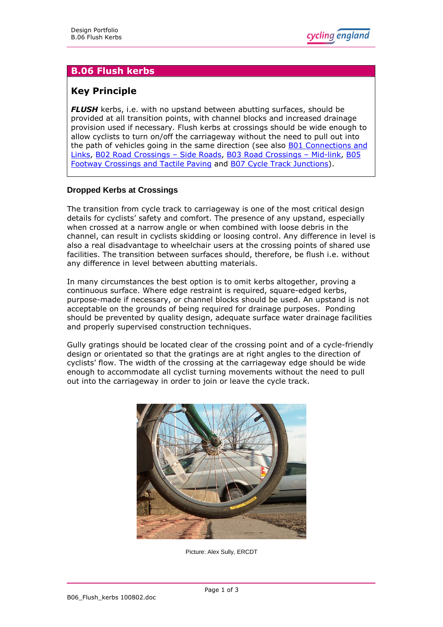# **B.06 Flush kerbs**

# **Key Principle**

**FLUSH** kerbs, i.e. with no upstand between abutting surfaces, should be provided at all transition points, with channel blocks and increased drainage provision used if necessary. Flush kerbs at crossings should be wide enough to allow cyclists to turn on/off the carriageway without the need to pull out into the path of vehicles going in the same direction (see also [B01 Connections and](http://www.cyclingengland.co.uk/docs/B01_Connections_and_Links.pdf) [Links,](http://www.cyclingengland.co.uk/docs/B01_Connections_and_Links.pdf) [B02 Road Crossings](http://www.cyclingengland.co.uk/docs/B02_Road_Crossings_Side_Roads.pdf) – Side Roads, [B03 Road Crossings](http://www.cyclingengland.co.uk/docs/B03_Road_Crossings_Mid_Link.pdf) – Mid-link, [B05](http://www.cyclingengland.co.uk/docs/B05_Footway_Crossings_and_Tactile_Paving.pdf) [Footway Crossings and Tactile Paving](http://www.cyclingengland.co.uk/docs/B05_Footway_Crossings_and_Tactile_Paving.pdf) and [B07 Cycle Track Junctions\)](http://www.cyclingengland.co.uk/docs/B07_Cycle_Track_Junctions.pdf).

## **Dropped Kerbs at Crossings**

The transition from cycle track to carriageway is one of the most critical design details for cyclists' safety and comfort. The presence of any upstand, especially when crossed at a narrow angle or when combined with loose debris in the channel, can result in cyclists skidding or loosing control. Any difference in level is also a real disadvantage to wheelchair users at the crossing points of shared use facilities. The transition between surfaces should, therefore, be flush i.e. without any difference in level between abutting materials.

In many circumstances the best option is to omit kerbs altogether, proving a continuous surface. Where edge restraint is required, square-edged kerbs, purpose-made if necessary, or channel blocks should be used. An upstand is not acceptable on the grounds of being required for drainage purposes. Ponding should be prevented by quality design, adequate surface water drainage facilities and properly supervised construction techniques.

Gully gratings should be located clear of the crossing point and of a cycle-friendly design or orientated so that the gratings are at right angles to the direction of cyclists' flow. The width of the crossing at the carriageway edge should be wide enough to accommodate all cyclist turning movements without the need to pull out into the carriageway in order to join or leave the cycle track.



Picture: Alex Sully, ERCDT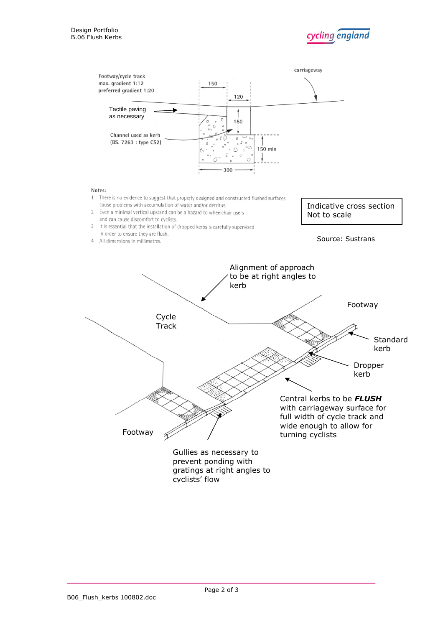